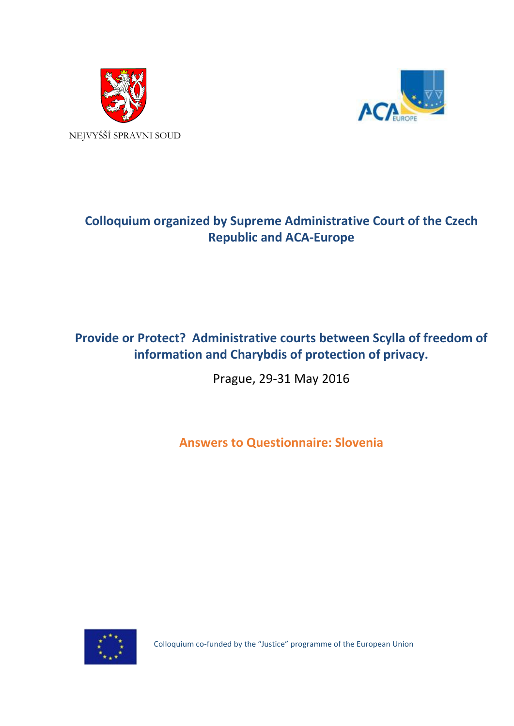



# **Colloquium organized by Supreme Administrative Court of the Czech Republic and ACA-Europe**

## **Provide or Protect? Administrative courts between Scylla of freedom of information and Charybdis of protection of privacy.**

Prague, 29-31 May 2016

**Answers to Questionnaire: Slovenia**



Colloquium co-funded by the "Justice" programme of the European Union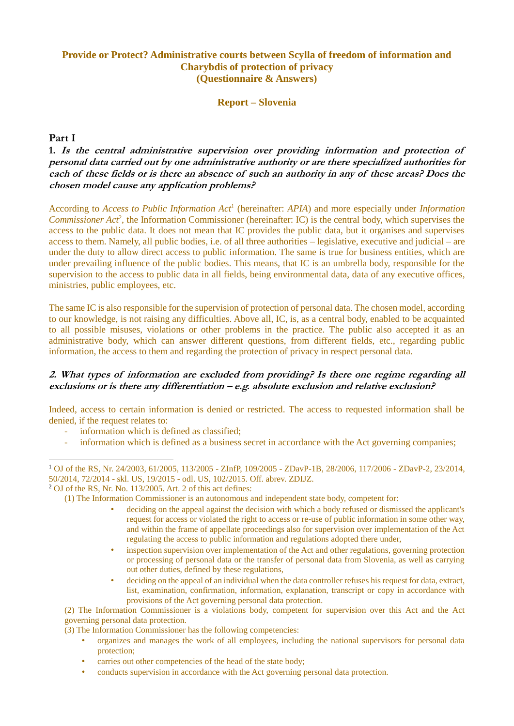## **Provide or Protect? Administrative courts between Scylla of freedom of information and Charybdis of protection of privacy (Questionnaire & Answers)**

**Report – Slovenia**

#### **Part I**

1

**1. Is the central administrative supervision over providing information and protection of personal data carried out by one administrative authority or are there specialized authorities for each of these fields or is there an absence of such an authority in any of these areas? Does the chosen model cause any application problems?**

According to *Access to Public Information Act*<sup>1</sup> (hereinafter: *APIA*) and more especially under *Information*  Commissioner Act<sup>2</sup>, the Information Commissioner (hereinafter: IC) is the central body, which supervises the access to the public data. It does not mean that IC provides the public data, but it organises and supervises access to them. Namely, all public bodies, i.e. of all three authorities – legislative, executive and judicial – are under the duty to allow direct access to public information. The same is true for business entities, which are under prevailing influence of the public bodies. This means, that IC is an umbrella body, responsible for the supervision to the access to public data in all fields, being environmental data, data of any executive offices, ministries, public employees, etc.

The same IC is also responsible for the supervision of protection of personal data. The chosen model, according to our knowledge, is not raising any difficulties. Above all, IC, is, as a central body, enabled to be acquainted to all possible misuses, violations or other problems in the practice. The public also accepted it as an administrative body, which can answer different questions, from different fields, etc., regarding public information, the access to them and regarding the protection of privacy in respect personal data.

#### **2. What types of information are excluded from providing? Is there one regime regarding all exclusions or is there any differentiation – e.g. absolute exclusion and relative exclusion?**

Indeed, access to certain information is denied or restricted. The access to requested information shall be denied, if the request relates to:

- information which is defined as classified;
- information which is defined as a business secret in accordance with the Act governing companies;

- deciding on the appeal against the decision with which a body refused or dismissed the applicant's request for access or violated the right to access or re-use of public information in some other way, and within the frame of appellate proceedings also for supervision over implementation of the Act regulating the access to public information and regulations adopted there under,
- inspection supervision over implementation of the Act and other regulations, governing protection or processing of personal data or the transfer of personal data from Slovenia, as well as carrying out other duties, defined by these regulations,
- deciding on the appeal of an individual when the data controller refuses his request for data, extract, list, examination, confirmation, information, explanation, transcript or copy in accordance with provisions of the Act governing personal data protection.

(2) The Information Commissioner is a violations body, competent for supervision over this Act and the Act governing personal data protection.

(3) The Information Commissioner has the following competencies:

- organizes and manages the work of all employees, including the national supervisors for personal data protection;
- carries out other competencies of the head of the state body;
- conducts supervision in accordance with the Act governing personal data protection.

<sup>1</sup> OJ of the RS, Nr. 24/2003, 61/2005, 113/2005 - ZInfP, 109/2005 - ZDavP-1B, 28/2006, 117/2006 - ZDavP-2, 23/2014, 50/2014, 72/2014 - skl. US, 19/2015 - odl. US, 102/2015. Off. abrev. ZDIJZ.

 $2$  OJ of the RS, Nr, No. 113/2005. Art. 2 of this act defines:

<sup>(1)</sup> The Information Commissioner is an autonomous and independent state body, competent for: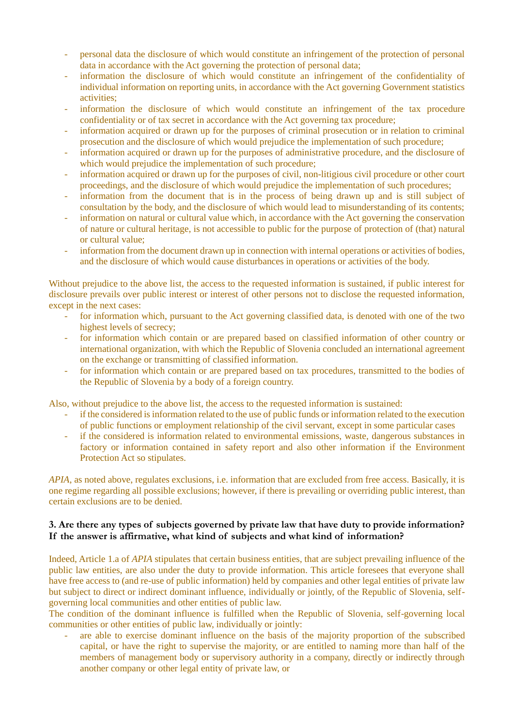- personal data the disclosure of which would constitute an infringement of the protection of personal data in accordance with the Act governing the protection of personal data;
- information the disclosure of which would constitute an infringement of the confidentiality of individual information on reporting units, in accordance with the Act governing Government statistics activities;
- information the disclosure of which would constitute an infringement of the tax procedure confidentiality or of tax secret in accordance with the Act governing tax procedure;
- information acquired or drawn up for the purposes of criminal prosecution or in relation to criminal prosecution and the disclosure of which would prejudice the implementation of such procedure;
- information acquired or drawn up for the purposes of administrative procedure, and the disclosure of which would prejudice the implementation of such procedure;
- information acquired or drawn up for the purposes of civil, non-litigious civil procedure or other court proceedings, and the disclosure of which would prejudice the implementation of such procedures;
- information from the document that is in the process of being drawn up and is still subject of consultation by the body, and the disclosure of which would lead to misunderstanding of its contents;
- information on natural or cultural value which, in accordance with the Act governing the conservation of nature or cultural heritage, is not accessible to public for the purpose of protection of (that) natural or cultural value;
- information from the document drawn up in connection with internal operations or activities of bodies, and the disclosure of which would cause disturbances in operations or activities of the body.

Without prejudice to the above list, the access to the requested information is sustained, if public interest for disclosure prevails over public interest or interest of other persons not to disclose the requested information, except in the next cases:

- for information which, pursuant to the Act governing classified data, is denoted with one of the two highest levels of secrecy;
- for information which contain or are prepared based on classified information of other country or international organization, with which the Republic of Slovenia concluded an international agreement on the exchange or transmitting of classified information.
- for information which contain or are prepared based on tax procedures, transmitted to the bodies of the Republic of Slovenia by a body of a foreign country.

Also, without prejudice to the above list, the access to the requested information is sustained:

- if the considered is information related to the use of public funds or information related to the execution of public functions or employment relationship of the civil servant, except in some particular cases
- if the considered is information related to environmental emissions, waste, dangerous substances in factory or information contained in safety report and also other information if the Environment Protection Act so stipulates.

*APIA*, as noted above, regulates exclusions, i.e. information that are excluded from free access. Basically, it is one regime regarding all possible exclusions; however, if there is prevailing or overriding public interest, than certain exclusions are to be denied.

#### **3. Are there any types of subjects governed by private law that have duty to provide information? If the answer is affirmative, what kind of subjects and what kind of information?**

Indeed, Article 1.a of *APIA* stipulates that certain business entities, that are subject prevailing influence of the public law entities, are also under the duty to provide information. This article foresees that everyone shall have free access to (and re-use of public information) held by companies and other legal entities of private law but subject to direct or indirect dominant influence, individually or jointly, of the Republic of Slovenia, selfgoverning local communities and other entities of public law.

The condition of the dominant influence is fulfilled when the Republic of Slovenia, self-governing local communities or other entities of public law, individually or jointly:

are able to exercise dominant influence on the basis of the majority proportion of the subscribed capital, or have the right to supervise the majority, or are entitled to naming more than half of the members of management body or supervisory authority in a company, directly or indirectly through another company or other legal entity of private law, or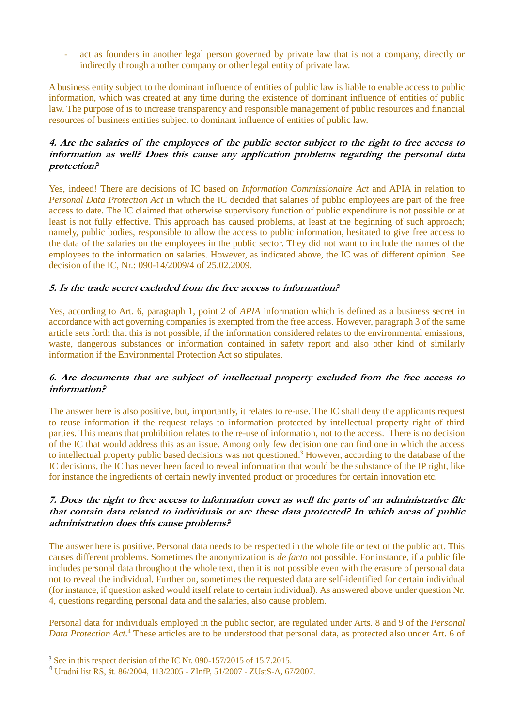act as founders in another legal person governed by private law that is not a company, directly or indirectly through another company or other legal entity of private law.

A business entity subject to the dominant influence of entities of public law is liable to enable access to public information, which was created at any time during the existence of dominant influence of entities of public law. The purpose of is to increase transparency and responsible management of public resources and financial resources of business entities subject to dominant influence of entities of public law.

#### **4. Are the salaries of the employees of the public sector subject to the right to free access to information as well? Does this cause any application problems regarding the personal data protection?**

Yes, indeed! There are decisions of IC based on *Information Commissionaire Act* and APIA in relation to *Personal Data Protection Act* in which the IC decided that salaries of public employees are part of the free access to date. The IC claimed that otherwise supervisory function of public expenditure is not possible or at least is not fully effective. This approach has caused problems, at least at the beginning of such approach; namely, public bodies, responsible to allow the access to public information, hesitated to give free access to the data of the salaries on the employees in the public sector. They did not want to include the names of the employees to the information on salaries. However, as indicated above, the IC was of different opinion. See decision of the IC, Nr.: 090-14/2009/4 of 25.02.2009.

#### **5. Is the trade secret excluded from the free access to information?**

Yes, according to Art. 6, paragraph 1, point 2 of *APIA* information which is defined as a business secret in accordance with act governing companies is exempted from the free access. However, paragraph 3 of the same article sets forth that this is not possible, if the information considered relates to the environmental emissions, waste, dangerous substances or information contained in safety report and also other kind of similarly information if the Environmental Protection Act so stipulates.

#### **6. Are documents that are subject of intellectual property excluded from the free access to information?**

The answer here is also positive, but, importantly, it relates to re-use. The IC shall deny the applicants request to reuse information if the request relays to information protected by intellectual property right of third parties. This means that prohibition relates to the re-use of information, not to the access. There is no decision of the IC that would address this as an issue. Among only few decision one can find one in which the access to intellectual property public based decisions was not questioned.<sup>3</sup> However, according to the database of the IC decisions, the IC has never been faced to reveal information that would be the substance of the IP right, like for instance the ingredients of certain newly invented product or procedures for certain innovation etc.

#### **7. Does the right to free access to information cover as well the parts of an administrative file that contain data related to individuals or are these data protected? In which areas of public administration does this cause problems?**

The answer here is positive. Personal data needs to be respected in the whole file or text of the public act. This causes different problems. Sometimes the anonymization is *de facto* not possible. For instance, if a public file includes personal data throughout the whole text, then it is not possible even with the erasure of personal data not to reveal the individual. Further on, sometimes the requested data are self-identified for certain individual (for instance, if question asked would itself relate to certain individual). As answered above under question Nr. 4, questions regarding personal data and the salaries, also cause problem.

Personal data for individuals employed in the public sector, are regulated under Arts. 8 and 9 of the *Personal Data Protection Act.*<sup>4</sup> These articles are to be understood that personal data, as protected also under Art. 6 of

1

<sup>&</sup>lt;sup>3</sup> See in this respect decision of the IC Nr. 090-157/2015 of 15.7.2015.

<sup>4</sup> Uradni list RS, št. 86/2004, 113/2005 - ZInfP, 51/2007 - ZUstS-A, 67/2007.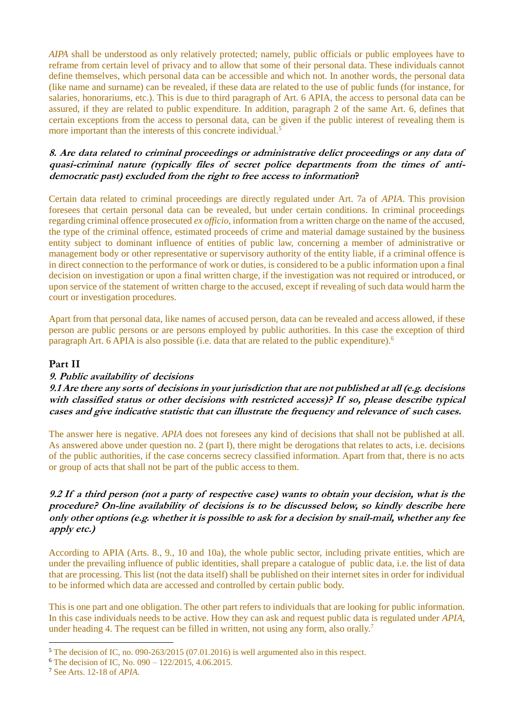*AIPA* shall be understood as only relatively protected; namely, public officials or public employees have to reframe from certain level of privacy and to allow that some of their personal data. These individuals cannot define themselves, which personal data can be accessible and which not. In another words, the personal data (like name and surname) can be revealed, if these data are related to the use of public funds (for instance, for salaries, honorariums, etc.). This is due to third paragraph of Art. 6 APIA, the access to personal data can be assured, if they are related to public expenditure. In addition, paragraph 2 of the same Art. 6, defines that certain exceptions from the access to personal data, can be given if the public interest of revealing them is more important than the interests of this concrete individual.<sup>5</sup>

#### **8. Are data related to criminal proceedings or administrative delict proceedings or any data of quasi-criminal nature (typically files of secret police departments from the times of antidemocratic past) excluded from the right to free access to information?**

Certain data related to criminal proceedings are directly regulated under Art. 7a of *APIA*. This provision foresees that certain personal data can be revealed, but under certain conditions. In criminal proceedings regarding criminal offence prosecuted *ex officio*, information from a written charge on the name of the accused, the type of the criminal offence, estimated proceeds of crime and material damage sustained by the business entity subject to dominant influence of entities of public law, concerning a member of administrative or management body or other representative or supervisory authority of the entity liable, if a criminal offence is in direct connection to the performance of work or duties, is considered to be a public information upon a final decision on investigation or upon a final written charge, if the investigation was not required or introduced, or upon service of the statement of written charge to the accused, except if revealing of such data would harm the court or investigation procedures.

Apart from that personal data, like names of accused person, data can be revealed and access allowed, if these person are public persons or are persons employed by public authorities. In this case the exception of third paragraph Art. 6 APIA is also possible (i.e. data that are related to the public expenditure).<sup>6</sup>

#### **Part II**

#### **9. Public availability of decisions**

**9.1 Are there any sorts of decisions in your jurisdiction that are not published at all (e.g. decisions with classified status or other decisions with restricted access)? If so, please describe typical cases and give indicative statistic that can illustrate the frequency and relevance of such cases.** 

The answer here is negative. *APIA* does not foresees any kind of decisions that shall not be published at all. As answered above under question no. 2 (part I), there might be derogations that relates to acts, i.e. decisions of the public authorities, if the case concerns secrecy classified information. Apart from that, there is no acts or group of acts that shall not be part of the public access to them.

#### **9.2 If a third person (not a party of respective case) wants to obtain your decision, what is the procedure? On-line availability of decisions is to be discussed below, so kindly describe here only other options (e.g. whether it is possible to ask for a decision by snail-mail, whether any fee apply etc.)**

According to APIA (Arts. 8., 9., 10 and 10a), the whole public sector, including private entities, which are under the prevailing influence of public identities, shall prepare a catalogue of public data, i.e. the list of data that are processing. This list (not the data itself) shall be published on their internet sites in order for individual to be informed which data are accessed and controlled by certain public body.

This is one part and one obligation. The other part refers to individuals that are looking for public information. In this case individuals needs to be active. How they can ask and request public data is regulated under *APIA*, under heading 4. The request can be filled in written, not using any form, also orally.<sup>7</sup>

<u>.</u>

<sup>5</sup> The decision of IC, no. 090-263/2015 (07.01.2016) is well argumented also in this respect.

<sup>6</sup> The decision of IC, No. 090 – 122/2015, 4.06.2015.

<sup>7</sup> See Arts. 12-18 of *APIA*.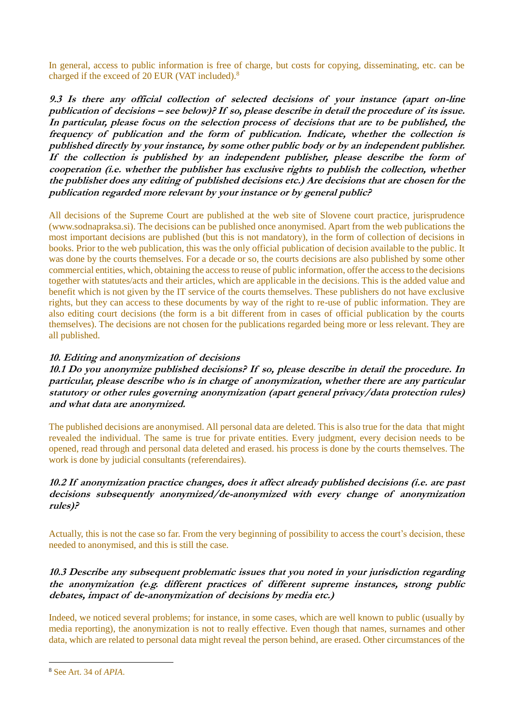In general, access to public information is free of charge, but costs for copying, disseminating, etc. can be charged if the exceed of 20 EUR (VAT included).<sup>8</sup>

**9.3 Is there any official collection of selected decisions of your instance (apart on-line publication of decisions – see below)? If so, please describe in detail the procedure of its issue. In particular, please focus on the selection process of decisions that are to be published, the frequency of publication and the form of publication. Indicate, whether the collection is published directly by your instance, by some other public body or by an independent publisher. If the collection is published by an independent publisher, please describe the form of cooperation (i.e. whether the publisher has exclusive rights to publish the collection, whether the publisher does any editing of published decisions etc.) Are decisions that are chosen for the publication regarded more relevant by your instance or by general public?**

All decisions of the Supreme Court are published at the web site of Slovene court practice, jurisprudence (www.sodnapraksa.si). The decisions can be published once anonymised. Apart from the web publications the most important decisions are published (but this is not mandatory), in the form of collection of decisions in books. Prior to the web publication, this was the only official publication of decision available to the public. It was done by the courts themselves. For a decade or so, the courts decisions are also published by some other commercial entities, which, obtaining the access to reuse of public information, offer the access to the decisions together with statutes/acts and their articles, which are applicable in the decisions. This is the added value and benefit which is not given by the IT service of the courts themselves. These publishers do not have exclusive rights, but they can access to these documents by way of the right to re-use of public information. They are also editing court decisions (the form is a bit different from in cases of official publication by the courts themselves). The decisions are not chosen for the publications regarded being more or less relevant. They are all published.

## **10. Editing and anonymization of decisions**

**10.1 Do you anonymize published decisions? If so, please describe in detail the procedure. In particular, please describe who is in charge of anonymization, whether there are any particular statutory or other rules governing anonymization (apart general privacy/data protection rules) and what data are anonymized.**

The published decisions are anonymised. All personal data are deleted. This is also true for the data that might revealed the individual. The same is true for private entities. Every judgment, every decision needs to be opened, read through and personal data deleted and erased. his process is done by the courts themselves. The work is done by judicial consultants (referendaires).

## **10.2 If anonymization practice changes, does it affect already published decisions (i.e. are past decisions subsequently anonymized/de-anonymized with every change of anonymization rules)?**

Actually, this is not the case so far. From the very beginning of possibility to access the court's decision, these needed to anonymised, and this is still the case.

#### **10.3 Describe any subsequent problematic issues that you noted in your jurisdiction regarding the anonymization (e.g. different practices of different supreme instances, strong public debates, impact of de-anonymization of decisions by media etc.)**

Indeed, we noticed several problems; for instance, in some cases, which are well known to public (usually by media reporting), the anonymization is not to really effective. Even though that names, surnames and other data, which are related to personal data might reveal the person behind, are erased. Other circumstances of the

1

<sup>8</sup> See Art. 34 of *APIA*.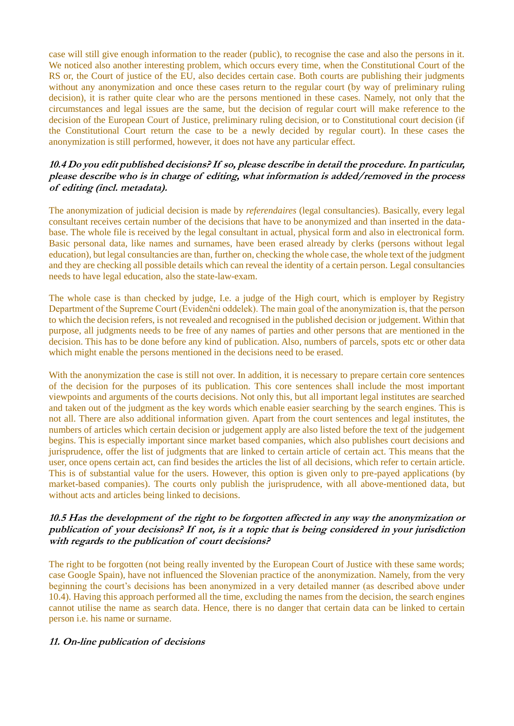case will still give enough information to the reader (public), to recognise the case and also the persons in it. We noticed also another interesting problem, which occurs every time, when the Constitutional Court of the RS or, the Court of justice of the EU, also decides certain case. Both courts are publishing their judgments without any anonymization and once these cases return to the regular court (by way of preliminary ruling decision), it is rather quite clear who are the persons mentioned in these cases. Namely, not only that the circumstances and legal issues are the same, but the decision of regular court will make reference to the decision of the European Court of Justice, preliminary ruling decision, or to Constitutional court decision (if the Constitutional Court return the case to be a newly decided by regular court). In these cases the anonymization is still performed, however, it does not have any particular effect.

#### **10.4 Do you edit published decisions? If so, please describe in detail the procedure. In particular, please describe who is in charge of editing, what information is added/removed in the process of editing (incl. metadata).**

The anonymization of judicial decision is made by *referendaires* (legal consultancies). Basically, every legal consultant receives certain number of the decisions that have to be anonymized and than inserted in the database. The whole file is received by the legal consultant in actual, physical form and also in electronical form. Basic personal data, like names and surnames, have been erased already by clerks (persons without legal education), but legal consultancies are than, further on, checking the whole case, the whole text of the judgment and they are checking all possible details which can reveal the identity of a certain person. Legal consultancies needs to have legal education, also the state-law-exam.

The whole case is than checked by judge, I.e. a judge of the High court, which is employer by Registry Department of the Supreme Court (Evidenčni oddelek). The main goal of the anonymization is, that the person to which the decision refers, is not revealed and recognised in the published decision or judgement. Within that purpose, all judgments needs to be free of any names of parties and other persons that are mentioned in the decision. This has to be done before any kind of publication. Also, numbers of parcels, spots etc or other data which might enable the persons mentioned in the decisions need to be erased.

With the anonymization the case is still not over. In addition, it is necessary to prepare certain core sentences of the decision for the purposes of its publication. This core sentences shall include the most important viewpoints and arguments of the courts decisions. Not only this, but all important legal institutes are searched and taken out of the judgment as the key words which enable easier searching by the search engines. This is not all. There are also additional information given. Apart from the court sentences and legal institutes, the numbers of articles which certain decision or judgement apply are also listed before the text of the judgement begins. This is especially important since market based companies, which also publishes court decisions and jurisprudence, offer the list of judgments that are linked to certain article of certain act. This means that the user, once opens certain act, can find besides the articles the list of all decisions, which refer to certain article. This is of substantial value for the users. However, this option is given only to pre-payed applications (by market-based companies). The courts only publish the jurisprudence, with all above-mentioned data, but without acts and articles being linked to decisions.

#### **10.5 Has the development of the right to be forgotten affected in any way the anonymization or publication of your decisions? If not, is it a topic that is being considered in your jurisdiction with regards to the publication of court decisions?**

The right to be forgotten (not being really invented by the European Court of Justice with these same words; case Google Spain), have not influenced the Slovenian practice of the anonymization. Namely, from the very beginning the court's decisions has been anonymized in a very detailed manner (as described above under 10.4). Having this approach performed all the time, excluding the names from the decision, the search engines cannot utilise the name as search data. Hence, there is no danger that certain data can be linked to certain person i.e. his name or surname.

#### **11. On-line publication of decisions**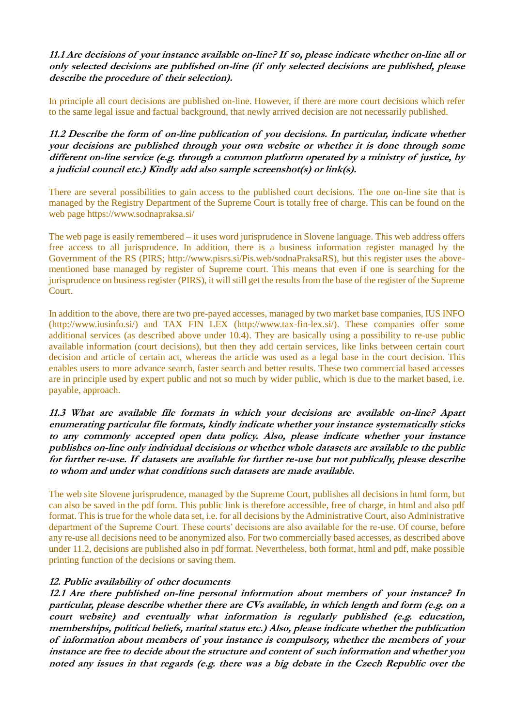**11.1 Are decisions of your instance available on-line? If so, please indicate whether on-line all or only selected decisions are published on-line (if only selected decisions are published, please describe the procedure of their selection).**

In principle all court decisions are published on-line. However, if there are more court decisions which refer to the same legal issue and factual background, that newly arrived decision are not necessarily published.

**11.2 Describe the form of on-line publication of you decisions. In particular, indicate whether your decisions are published through your own website or whether it is done through some different on-line service (e.g. through a common platform operated by a ministry of justice, by a judicial council etc.) Kindly add also sample screenshot(s) or link(s).**

There are several possibilities to gain access to the published court decisions. The one on-line site that is managed by the Registry Department of the Supreme Court is totally free of charge. This can be found on the web page https://www.sodnapraksa.si/

The web page is easily remembered – it uses word jurisprudence in Slovene language. This web address offers free access to all jurisprudence. In addition, there is a business information register managed by the Government of the RS (PIRS; http://www.pisrs.si/Pis.web/sodnaPraksaRS), but this register uses the abovementioned base managed by register of Supreme court. This means that even if one is searching for the jurisprudence on business register (PIRS), it will still get the results from the base of the register of the Supreme Court.

In addition to the above, there are two pre-payed accesses, managed by two market base companies, IUS INFO (http://www.iusinfo.si/) and TAX FIN LEX (http://www.tax-fin-lex.si/). These companies offer some additional services (as described above under 10.4). They are basically using a possibility to re-use public available information (court decisions), but then they add certain services, like links between certain court decision and article of certain act, whereas the article was used as a legal base in the court decision. This enables users to more advance search, faster search and better results. These two commercial based accesses are in principle used by expert public and not so much by wider public, which is due to the market based, i.e. payable, approach.

**11.3 What are available file formats in which your decisions are available on-line? Apart enumerating particular file formats, kindly indicate whether your instance systematically sticks to any commonly accepted open data policy. Also, please indicate whether your instance publishes on-line only individual decisions or whether whole datasets are available to the public for further re-use. If datasets are available for further re-use but not publically, please describe to whom and under what conditions such datasets are made available.**

The web site Slovene jurisprudence, managed by the Supreme Court, publishes all decisions in html form, but can also be saved in the pdf form. This public link is therefore accessible, free of charge, in html and also pdf format. This is true for the whole data set, i.e. for all decisions by the Administrative Court, also Administrative department of the Supreme Court. These courts' decisions are also available for the re-use. Of course, before any re-use all decisions need to be anonymized also. For two commercially based accesses, as described above under 11.2, decisions are published also in pdf format. Nevertheless, both format, html and pdf, make possible printing function of the decisions or saving them.

#### **12. Public availability of other documents**

**12.1 Are there published on-line personal information about members of your instance? In particular, please describe whether there are CVs available, in which length and form (e.g. on a court website) and eventually what information is regularly published (e.g. education, memberships, political beliefs, marital status etc.) Also, please indicate whether the publication of information about members of your instance is compulsory, whether the members of your instance are free to decide about the structure and content of such information and whether you noted any issues in that regards (e.g. there was a big debate in the Czech Republic over the**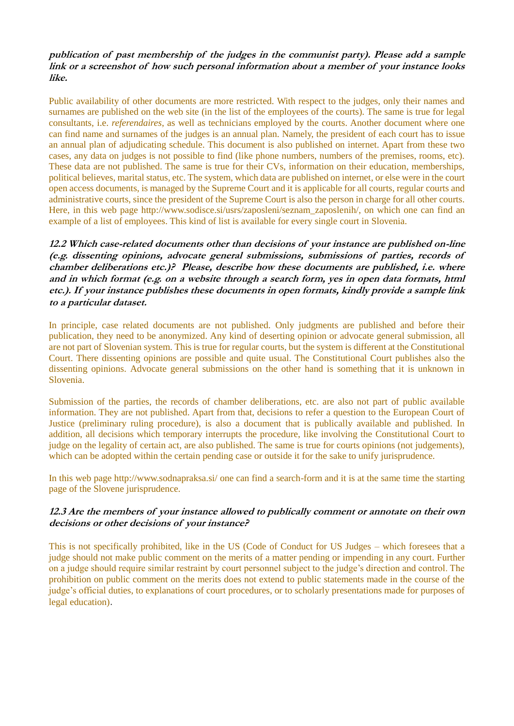#### **publication of past membership of the judges in the communist party). Please add a sample link or a screenshot of how such personal information about a member of your instance looks like.**

Public availability of other documents are more restricted. With respect to the judges, only their names and surnames are published on the web site (in the list of the employees of the courts). The same is true for legal consultants, i.e. *referendaires*, as well as technicians employed by the courts. Another document where one can find name and surnames of the judges is an annual plan. Namely, the president of each court has to issue an annual plan of adjudicating schedule. This document is also published on internet. Apart from these two cases, any data on judges is not possible to find (like phone numbers, numbers of the premises, rooms, etc). These data are not published. The same is true for their CVs, information on their education, memberships, political believes, marital status, etc. The system, which data are published on internet, or else were in the court open access documents, is managed by the Supreme Court and it is applicable for all courts, regular courts and administrative courts, since the president of the Supreme Court is also the person in charge for all other courts. Here, in this web page http://www.sodisce.si/usrs/zaposleni/seznam\_zaposlenih/, on which one can find an example of a list of employees. This kind of list is available for every single court in Slovenia.

**12.2 Which case-related documents other than decisions of your instance are published on-line (e.g. dissenting opinions, advocate general submissions, submissions of parties, records of chamber deliberations etc.)? Please, describe how these documents are published, i.e. where and in which format (e.g. on a website through a search form, yes in open data formats, html etc.). If your instance publishes these documents in open formats, kindly provide a sample link to a particular dataset.**

In principle, case related documents are not published. Only judgments are published and before their publication, they need to be anonymized. Any kind of deserting opinion or advocate general submission, all are not part of Slovenian system. This is true for regular courts, but the system is different at the Constitutional Court. There dissenting opinions are possible and quite usual. The Constitutional Court publishes also the dissenting opinions. Advocate general submissions on the other hand is something that it is unknown in Slovenia.

Submission of the parties, the records of chamber deliberations, etc. are also not part of public available information. They are not published. Apart from that, decisions to refer a question to the European Court of Justice (preliminary ruling procedure), is also a document that is publically available and published. In addition, all decisions which temporary interrupts the procedure, like involving the Constitutional Court to judge on the legality of certain act, are also published. The same is true for courts opinions (not judgements), which can be adopted within the certain pending case or outside it for the sake to unify jurisprudence.

In this web page http://www.sodnapraksa.si/ one can find a search-form and it is at the same time the starting page of the Slovene jurisprudence.

## **12.3 Are the members of your instance allowed to publically comment or annotate on their own decisions or other decisions of your instance?**

This is not specifically prohibited, like in the US (Code of Conduct for US Judges – which foresees that a judge should not make public comment on the merits of a matter pending or impending in any court. Further on a judge should require similar restraint by court personnel subject to the judge's direction and control. The prohibition on public comment on the merits does not extend to public statements made in the course of the judge's official duties, to explanations of court procedures, or to scholarly presentations made for purposes of legal education).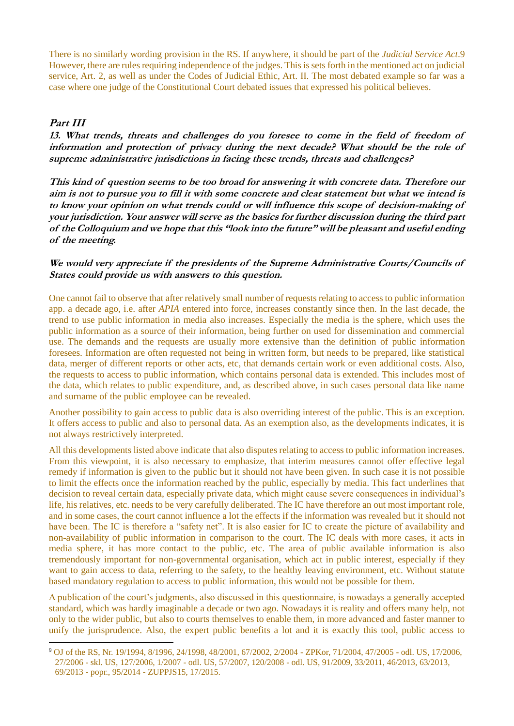There is no similarly wording provision in the RS. If anywhere, it should be part of the *Judicial Service Act*.9 However, there are rules requiring independence of the judges. This is sets forth in the mentioned act on judicial service, Art. 2, as well as under the Codes of Judicial Ethic, Art. II. The most debated example so far was a case where one judge of the Constitutional Court debated issues that expressed his political believes.

## **Part III**

<u>.</u>

**13. What trends, threats and challenges do you foresee to come in the field of freedom of information and protection of privacy during the next decade? What should be the role of supreme administrative jurisdictions in facing these trends, threats and challenges?**

**This kind of question seems to be too broad for answering it with concrete data. Therefore our aim is not to pursue you to fill it with some concrete and clear statement but what we intend is to know your opinion on what trends could or will influence this scope of decision-making of your jurisdiction. Your answer will serve as the basics for further discussion during the third part of the Colloquium and we hope that this "look into the future" will be pleasant and useful ending of the meeting.**

#### **We would very appreciate if the presidents of the Supreme Administrative Courts/Councils of States could provide us with answers to this question.**

One cannot fail to observe that after relatively small number of requests relating to access to public information app. a decade ago, i.e. after *APIA* entered into force, increases constantly since then. In the last decade, the trend to use public information in media also increases. Especially the media is the sphere, which uses the public information as a source of their information, being further on used for dissemination and commercial use. The demands and the requests are usually more extensive than the definition of public information foresees. Information are often requested not being in written form, but needs to be prepared, like statistical data, merger of different reports or other acts, etc, that demands certain work or even additional costs. Also, the requests to access to public information, which contains personal data is extended. This includes most of the data, which relates to public expenditure, and, as described above, in such cases personal data like name and surname of the public employee can be revealed.

Another possibility to gain access to public data is also overriding interest of the public. This is an exception. It offers access to public and also to personal data. As an exemption also, as the developments indicates, it is not always restrictively interpreted.

All this developments listed above indicate that also disputes relating to access to public information increases. From this viewpoint, it is also necessary to emphasize, that interim measures cannot offer effective legal remedy if information is given to the public but it should not have been given. In such case it is not possible to limit the effects once the information reached by the public, especially by media. This fact underlines that decision to reveal certain data, especially private data, which might cause severe consequences in individual's life, his relatives, etc. needs to be very carefully deliberated. The IC have therefore an out most important role, and in some cases, the court cannot influence a lot the effects if the information was revealed but it should not have been. The IC is therefore a "safety net". It is also easier for IC to create the picture of availability and non-availability of public information in comparison to the court. The IC deals with more cases, it acts in media sphere, it has more contact to the public, etc. The area of public available information is also tremendously important for non-governmental organisation, which act in public interest, especially if they want to gain access to data, referring to the safety, to the healthy leaving environment, etc. Without statute based mandatory regulation to access to public information, this would not be possible for them.

A publication of the court's judgments, also discussed in this questionnaire, is nowadays a generally accepted standard, which was hardly imaginable a decade or two ago. Nowadays it is reality and offers many help, not only to the wider public, but also to courts themselves to enable them, in more advanced and faster manner to unify the jurisprudence. Also, the expert public benefits a lot and it is exactly this tool, public access to

<sup>9</sup> OJ of the RS, Nr. 19/1994, 8/1996, 24/1998, 48/2001, 67/2002, 2/2004 - ZPKor, 71/2004, 47/2005 - odl. US, 17/2006, 27/2006 - skl. US, 127/2006, 1/2007 - odl. US, 57/2007, 120/2008 - odl. US, 91/2009, 33/2011, 46/2013, 63/2013, 69/2013 - popr., 95/2014 - ZUPPJS15, 17/2015.